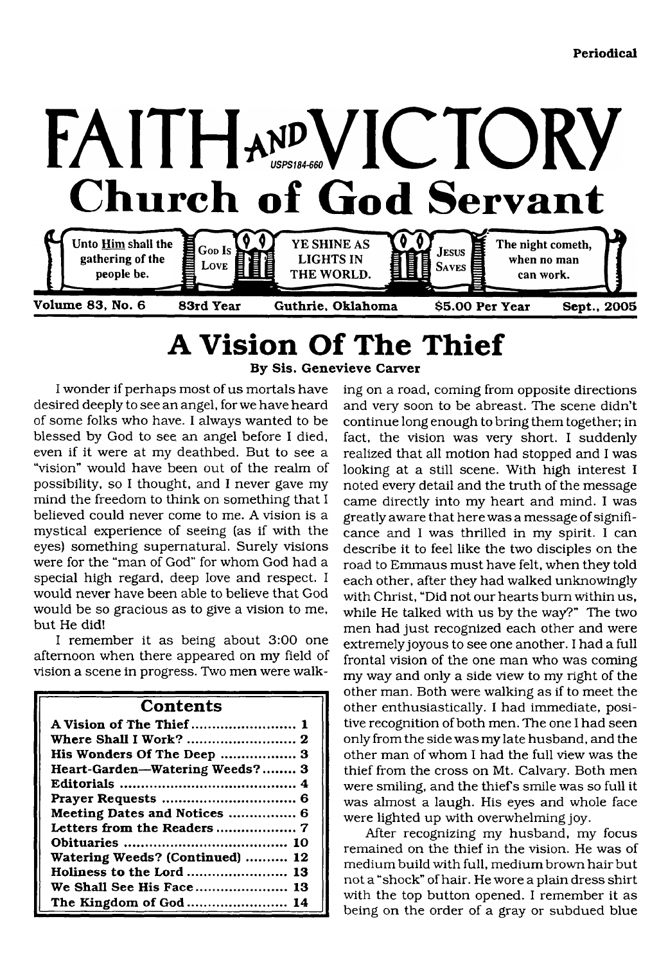

## <span id="page-0-0"></span>**A Vision Of The Thief By Sis. Genevieve Carver**

I wonder if perhaps most of us mortals have desired deeply to see an angel, for we have heard of some folks who have. I always wanted to be blessed by God to see an angel before I died, even if it were at my deathbed. But to see a "vision" would have been out of the realm of possibility, so I thought, and I never gave my mind the freedom to think on something that I believed could never come to me. A vision is a mystical experience of seeing (as if with the eyes) something supernatural. Surely visions were for the "man of God" for whom God had a special high regard, deep love and respect. I would never have been able to believe that God would be so gracious as to give a vision to me, but He did!

I remember it as being about 3:00 one afternoon when there appeared on my field of vision a scene in progress. Two men were walk-

| Contents                        |
|---------------------------------|
|                                 |
|                                 |
| His Wonders Of The Deep  3      |
| Heart-Garden-Watering Weeds? 3  |
|                                 |
|                                 |
| Meeting Dates and Notices  6    |
|                                 |
|                                 |
| Watering Weeds? (Continued)  12 |
| Holiness to the Lord  13        |
| We Shall See His Face 13        |
| The Kingdom of God  14          |

ing on a road, coming from opposite directions and very soon to be abreast. The scene didn't continue long enough to bring them together; in fact, the vision was very short. I suddenly realized that all motion had stopped and I was looking at a still scene. With high interest I noted every detail and the truth of the message came directly into my heart and mind. I was greatly aware that here was a message of significance and I was thrilled in my spirit. I can describe it to feel like the two disciples on the road to Emmaus must have felt, when they told each other, after they had walked unknowingly with Christ, "Did not our hearts bum within us, while He talked with us by the way?" The two men had just recognized each other and were extremely joyous to see one another. I had a full frontal vision of the one man who was coming my way and only a side view to my right of the other man. Both were walking as if to meet the other enthusiastically. I had immediate, positive recognition of both men. The one I had seen only from the side was my late husband, and the other man of whom I had the full view was the thief from the cross on Mt. Calvary. Both men were smiling, and the thief s smile was so full it was almost a laugh. His eyes and whole face were lighted up with overwhelming joy.

After recognizing my husband, my focus remained on the thief in the vision. He was of medium build with full, medium brown hair but not a "shock" of hair. He wore a plain dress shirt with the top button opened. I remember it as being on the order of a gray or subdued blue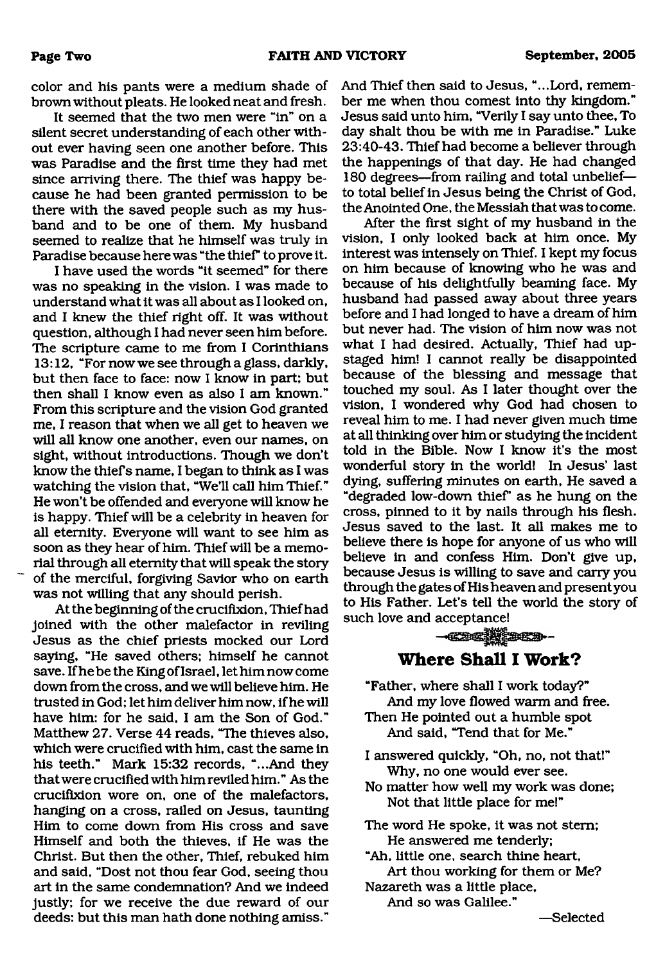color and his pants were a medium shade of brown without pleats. He looked neat and fresh.

It seemed that the two men were "in" on a silent secret understanding of each other without ever having seen one another before. This was Paradise and the first time they had met since arriving there. The thief was happy because he had been granted permission to be there with the saved people such as my husband and to be one of them. My husband seemed to realize that he himself was truly in Paradise because here was "the thief" to prove it.

I have used the words "it seemed" for there was no speaking in the vision. I was made to understand what it was all about as I looked on, and I knew the thief right off. It was without question, although I had never seen him before. The scripture came to me from I Corinthians 13:12, "For now we see through a glass, darkly, but then face to face: now I know in part; but then shall I know even as also I am known." From this scripture and the vision God granted me, I reason that when we all get to heaven we will all know one another, even our names, on sight, without introductions. Though we don't know the thief s name, I began to think as I was watching the vision that, "We'll call him Thief." He won't be offended and everyone will know he is happy. Thief will be a celebrity in heaven for all eternity. Everyone will want to see him as soon as they hear of him. Thief will be a memorial through all eternity that will speak the story of the merciful, forgiving Savior who on earth was not willing that any should perish.

At the beginning of the crucifixion, Thief had joined with the other malefactor in reviling Jesus as the chief priests mocked our Lord saying, "He saved others; himself he cannot save. If he be the King of Israel, let him now come down from the cross, and we will believe him. He trusted in God; let him deliver him now, if he will have him: for he said, I am the Son of God." Matthew 27. Verse 44 reads, "The thieves also, which were crucified with him, cast the same in his teeth." Mark 15:32 records, "...And they that were crucified with him reviled him." As the crucifixion wore on, one of the malefactors, hanging on a cross, railed on Jesus, taunting Him to come down from His cross and save Himself and both the thieves, if He was the Christ. But then the other, Thief, rebuked him and said, "Dost not thou fear God, seeing thou art in the same condemnation? And we indeed justly; for we receive the due reward of our deeds: but this man hath done nothing amiss."

And Thief then said to Jesus, "...Lord, remember me when thou comest into thy kingdom." Jesus said unto him, "Verily I say unto thee, To day shalt thou be with me in Paradise." Luke 23:40-43. Thief had become a believer through the happenings of that day. He had changed 180 degrees—from railing and total unbelief to total belief in Jesus being the Christ of God, the Anointed One, the Messiah that was to come.

After the first sight of my husband in the vision, I only looked back at him once. My interest was intensely on Thief. I kept my focus on him because of knowing who he was and because of his delightfully beaming face. My husband had passed away about three years before and I had longed to have a dream of him but never had. The vision of him now was not what I had desired. Actually, Thief had upstaged him! I cannot really be disappointed because of the blessing and message that touched my soul. As I later thought over the vision, I wondered why God had chosen to reveal him to me. I had never given much time at all thinking over him or studying the incident told in the Bible. Now I know it's the most wonderful story in the world! In Jesus' last dying, suffering minutes on earth, He saved a "degraded low-down thieF as he hung on the cross, pinned to it by nails through his flesh. Jesus saved to the last. It all makes me to believe there is hope for anyone of us who will believe in and confess Him. Don't give up, because Jesus is willing to save and carry you through the gates of His heaven and present you to His Father. Let's tell the world the story of such love and acceptance!

## $-$ **Where Shall I Work?**

- <span id="page-1-0"></span>"Father, where shall I work today?" And my love flowed warm and free. Then He pointed out a humble spot And said, "Tend that for Me."
- I answered quickly, "Oh, no, not that!" Why, no one would ever see.
- No matter how well my work was done; Not that little place for me!"
- The word He spoke, it was not stem; He answered me tenderly;
- "Ah, little one, search thine heart. Art thou working for them or Me? Nazareth was a little place.

And so was Galilee."

—Selected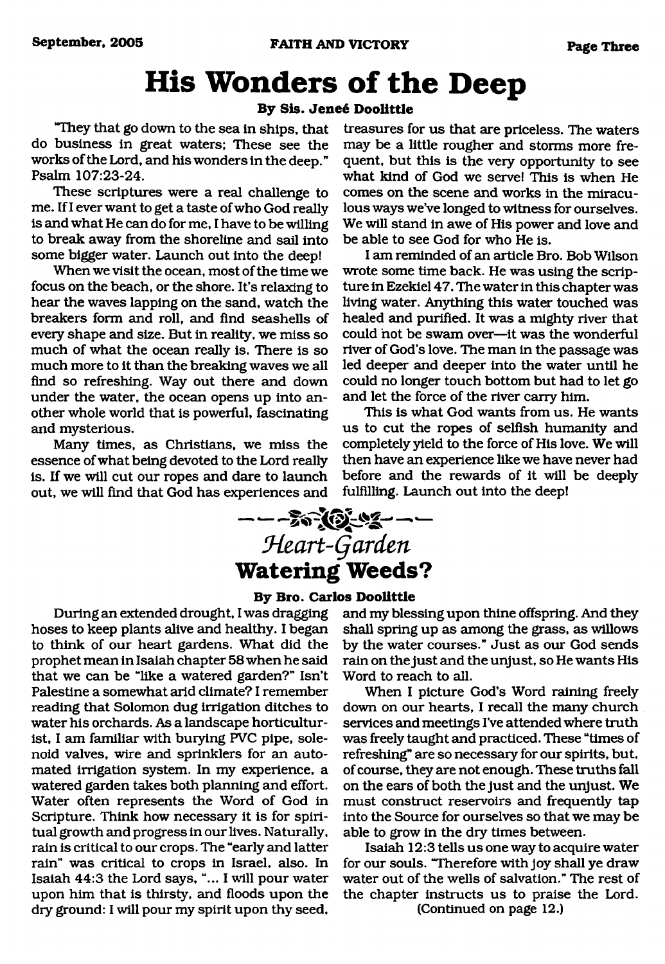# <span id="page-2-0"></span>**His Wonders of the Deep**

#### **By Sis. Jeneg Doolittle**

"They that go down to the sea in ships, that do business in great waters; These see the works of the Lord, and his wonders in the deep." Psalm 107:23-24.

These scriptures were a real challenge to me. If I ever want to get a taste of who God really is and what He can do for me, I have to be willing to break away from the shoreline and sail into some bigger water. Launch out into the deep!

When we visit the ocean, most of the time we focus on the beach, or the shore. It's relaxing to hear the waves lapping on the sand, watch the breakers form and roll, and find seashells of every shape and size. But in reality, we miss so much of what the ocean really is. There is so much more to it than the breaking waves we all find so refreshing. Way out there and down under the water, the ocean opens up into another whole world that is powerful, fascinating and mysterious.

Many times, as Christians, we miss the essence of what being devoted to the Lord really is. If we will cut our ropes and dare to launch out, we will find that God has experiences and

treasures for us that are priceless. The waters may be a little rougher and storms more frequent, but this is the very opportunity to see what kind of God we serve! This is when He comes on the scene and works in the miraculous ways we've longed to witness for ourselves. We will stand in awe of His power and love and be able to see God for who He is.

I am reminded of an article Bro. Bob Wilson wrote some time back. He was using the scripture in Ezekiel 47. The water in this chapter was living water. Anything this water touched was healed and purified. It was a mighty river that could not be swam over—it was the wonderful river of God's love. The man in the passage was led deeper and deeper into the water until he could no longer touch bottom but had to let go and let the force of the river carry him.

This is what God wants from us. He wants us to cut the ropes of selfish humanity and completely yield to the force of His love. We will then have an experience like we have never had before and the rewards of it will be deeply fulfilling. Launch out into the deep!

## $- - - 29$ *9ieart-Qardm* **Watering Weeds?**

#### **By Bro. Carlos Doolittle**

During an extended drought, I was dragging hoses to keep plants alive and healthy. I began to think of our heart gardens. What did the prophet mean in Isaiah chapter 58 when he said that we can be "like a watered garden?" Isn't Palestine a somewhat arid climate? I remember reading that Solomon dug irrigation ditches to water his orchards. As a landscape horticulturist, I am familiar with burying FVC pipe, solenoid valves, wire and sprinklers for an automated irrigation system. In my experience, a watered garden takes both planning and effort. Water often represents the Word of God in Scripture. Think how necessary it is for spiritual growth and progress in our lives. Naturally, rain is critical to our crops. The "early and latter rain" was critical to crops in Israel, also. In Isaiah 44:3 the Lord says, "... I will pour water upon him that is thirsty, and floods upon the dry ground: I will pour my spirit upon thy seed.

and my blessing upon thine offspring. And they shall spring up as among the grass, as willows by the water courses." Just as our God sends rain on the just and the unjust, so He wants His Word to reach to all.

When I picture God's Word raining freely down on our hearts, I recall the many church services and meetings I've attended where truth was freely taught and practiced. These "times of refreshing" are so necessary for our spirits, but, of course, they are not enough. These truths fall on the ears of both the just and the unjust. We must construct reservoirs and frequently tap into the Source for ourselves so that we may be able to grow in the dry times between.

Isaiah 12:3 tells us one way to acquire water for our souls. "Therefore with joy shall ye draw water out of the wells of salvation." The rest of the chapter instructs us to praise the Lord.

(Continued on page 12.)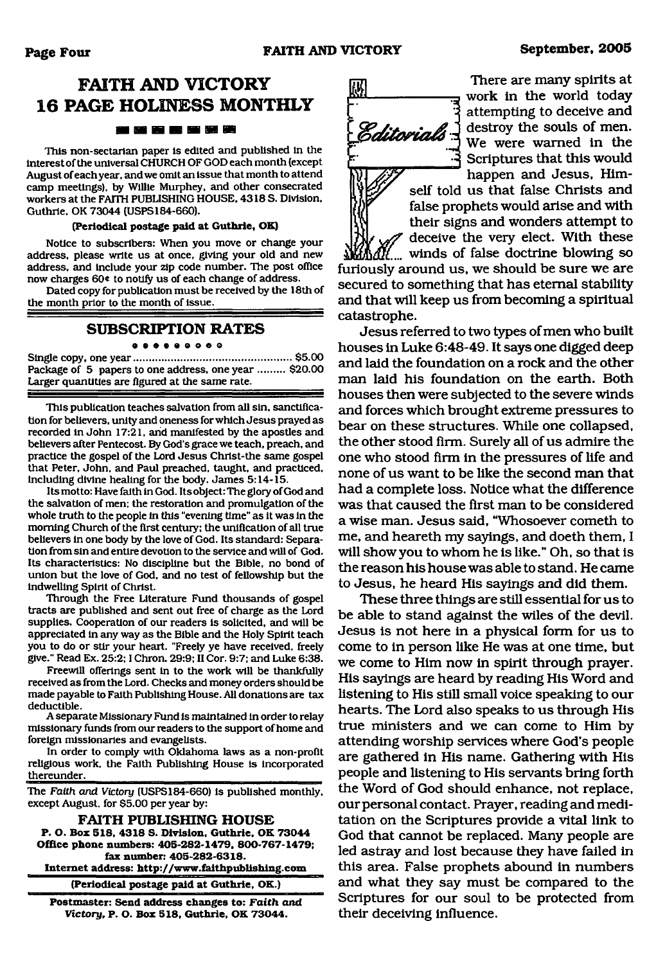## **FAITH AND VICTORY 16 PAGE HOLINESS MONTHLY** 80 80 80 80 80 90 80

This non-sectarian paper is edited and published In the interest of the universal CHURCH OF GOD each month (except August of each year, and we omit an issue that month to attend camp meetings), by Willie Murphey, and other consecrated workers at the FAITH PUBLISHING HOUSE, 4318 S. Division, Guthrie, OK 73044 (USPS184-660).

#### **(Periodical postage paid at Guthrie, OK)**

Notice to subscribers: When you move or change your address, please write us at once, giving your old and new address, and Include your zip code number. The post office now charges 60\* to notify us of each change of address.

Dated copy for publication must be received by the 18th of the month prior to the month of issue.

#### **SUBSCRIPTION RATES**

**90900OOOQ**

Single copy, one year......................................................\$5.00 Package of 5 papers to one address, one year ......... \$20.00 Larger quantities are figured at the same rate.

This publication teaches salvation from all sin, sanctification for believers, unity and oneness for which Jesus prayed as recorded in John 17:21, and manifested by the apostles and believers after Pentecost. By God's grace we teach, preach, and practice the gospel of the Lord Jesus Christ-the same gospel that Peter, John, and Paul preached, taught, and practiced, including divine healing for the body. James 5:14-15.

Its motto: Have faith in God. Its object: The glory of God and the salvation of men: the restoration and promulgation of the whole truth to the people in this "evening time" as it was in the morning Church of the first century: the unification of all true believers in one body by the love of God. Its standard: Separation from sin and entire devotion to the service and will of God. Its characteristics: No discipline but the Bible, no bond of union but the love of God, and no test of fellowship but the indwelling Spirit of Christ.

Through the Free Literature Fund thousands of gospel tracts are published and sent out free of charge as the Lord supplies. Cooperation of our readers is solicited, and will be appreciated in any way as the Bible and the Holy Spirit teach you to do or stir your heart. "Freely ye have received, freely give." Read Ex. 25:2:1 Chron. 29:9: II Cor. 9:7; and Luke 6:38.

Freewill offerings sent in to the work will be thankfully received as from the Lord. Checks and money orders should be made payable to Faith Publishing House. All donations are tax deductible.

A separate Missionary Fund is maintained in order to relay missionary funds from our readers to the support of home and foreign missionaries and evangelists.

In order to comply with Oklahoma laws as a non-profit religious work, the Faith Publishing House is incorporated thereunder

The *Faith and Victory* (USPS184-660) is published monthly, except August, for \$5.00 per year by:

**FAITH PUBLISHING HOUSE P. O. Box 518. 4318 S. Division. Guthrie. OK 73044 Office phone numbers: 405-282-1479, 800-767-1479; fax number: 405-282-6318. Internet address:<http://www.faithpublishing.com>**

**(Periodical postage paid at Guthrie, OK.)**

**Postmaster: Send address changes to:** *Faith and Victory***, P. O. Box 518, Guthrie, OK 73044.**



There are many spirits at work in the world today attempting to deceive and **Editorials**  $\frac{1}{2}$  destroy the souls of men. We were warned in the Scriptures that this would happen and Jesus, Him-

> self told us that false Christs and *^* false prophets would arise and with their signs and wonders attempt to deceive the very elect. With these winds of false doctrine blowing so

furiously around us, we should be sure we are secured to something that has eternal stability and that will keep us from becoming a spiritual catastrophe.

Jesus referred to two types of men who built houses in Luke 6:48-49. It says one digged deep and laid the foundation on a rock and the other man laid his foundation on the earth. Both houses then were subjected to the severe winds and forces which brought extreme pressures to bear on these structures. While one collapsed, the other stood firm. Surely all of us admire the one who stood firm in the pressures of life and none of us want to be like the second man that had a complete loss. Notice what the difference was that caused the first man to be considered a wise man. Jesus said, "Whosoever cometh to me, and heareth my sayings, and doeth them, I will show you to whom he is like." Oh, so that is the reason his house was able to stand. He came to Jesus, he heard His sayings and did them.

These three things are still essential for us to be able to stand against the wiles of the devil. Jesus is not here in a physical form for us to come to in person like He was at one time, but we come to Him now in spirit through prayer. His sayings are heard by reading His Word and listening to His still small voice speaking to our hearts. The Lord also speaks to us through His true ministers and we can come to Him by attending worship services where God's people are gathered in His name. Gathering with His people and listening to His servants bring forth the Word of God should enhance, not replace, our personal contact. Prayer, reading and meditation on the Scriptures provide a vital link to God that cannot be replaced. Many people are led astray and lost because they have failed in this area. False prophets abound in numbers and what they say must be compared to the Scriptures for our soul to be protected from their deceiving influence.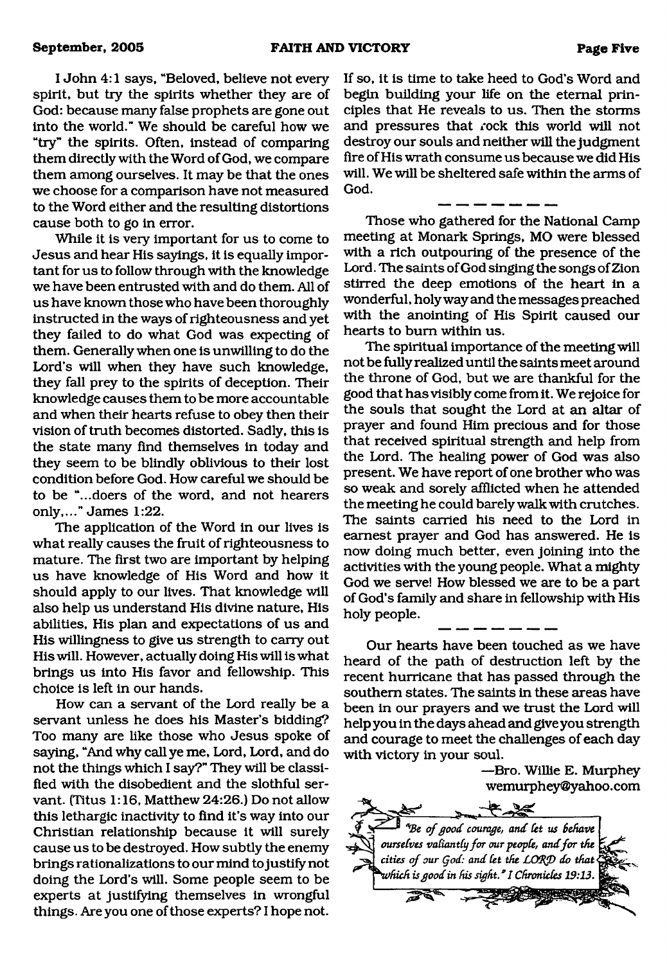I John 4:1 says, "Beloved, believe not every spirit, but try the spirits whether they are of God: because many false prophets are gone out into the world." We should be careful how we "try" the spirits. Often, instead of comparing them directly with the Word of God, we compare them among ourselves. It may be that the ones we choose for a comparison have not measured to the Word either and the resulting distortions cause both to go in error.

While it is very important for us to come to Jesus and hear His sayings, it is equally important for us to follow through with the knowledge we have been entrusted with and do them. All of us have known those who have been thoroughly instructed in the ways of righteousness and yet they failed to do what God was expecting of them. Generally when one is unwilling to do the Lord's will when they have such knowledge, they fall prey to the spirits of deception. Their knowledge causes them to be more accountable and when their hearts refuse to obey then their vision of truth becomes distorted. Sadly, this is the state many find themselves in today and they seem to be blindly oblivious to their lost condition before God. How careful we should be to be "...doers of the word, and not hearers only,..." James 1:22.

The application of the Word in our lives is what really causes the fruit of righteousness to mature. The first two are important by helping us have knowledge of His Word and how it should apply to our lives. That knowledge will also help us understand His divine nature, His abilities, His plan and expectations of us and His willingness to give us strength to carry out His will. However, actually doing His will is what brings us into His favor and fellowship. This choice is left in our hands.

How can a servant of the Lord really be a servant unless he does his Master's bidding? Too many are like those who Jesus spoke of saying, "And why call ye me, Lord, Lord, and do not the things which I say?" They will be classified with the disobedient and the slothful servant. (Titus 1:16, Matthew 24:26.) Do not allow this lethargic inactivity to find it's way into our Christian relationship because it will surely cause us to be destroyed. How subtly the enemy brings rationalizations to our mind to justify not doing the Lord's will. Some people seem to be experts at justifying themselves in wrongful things. Are you one of those experts? I hope not.

If so, it is time to take heed to God's Word and begin building your life on the eternal principles that He reveals to us. Then the storms and pressures that rock this world will not destroy our souls and neither will the judgment fire of His wrath consume us because we did His will. We will be sheltered safe within the arms of God.

Those who gathered for the National Camp meeting at Monark Springs, MO were blessed with a rich outpouring of the presence of the Lord. The saints of God singing the songs of Zion stirred the deep emotions of the heart in a wonderful, holy way and the messages preached with the anointing of His Spirit caused our hearts to bum within us.

The spiritual importance of the meeting will not be fully realized until the saints meet around the throne of God, but we are thankful for the good that has visibly come from it. We rejoice for the souls that sought the Lord at an altar of prayer and found Him precious and for those that received spiritual strength and help from the Lord. The healing power of God was also present. We have report of one brother who was so weak and sorely afflicted when he attended the meeting he could barely walk with crutches. The saints carried his need to the Lord in earnest prayer and God has answered. He is now doing much better, even joining into the activities with the young people. What a mighty God we serve! How blessed we are to be a part of God's family and share in fellowship with His holy people.

Our hearts have been touched as we have heard of the path of destruction left by the recent hurricane that has passed through the southern states. The saints in these areas have been in our prayers and we trust the Lord will help you in the days ahead and give you strength and courage to meet the challenges of each day with victory in your soul.

> —Bro. Willie E. Murphey wemurphey@yahoo.com

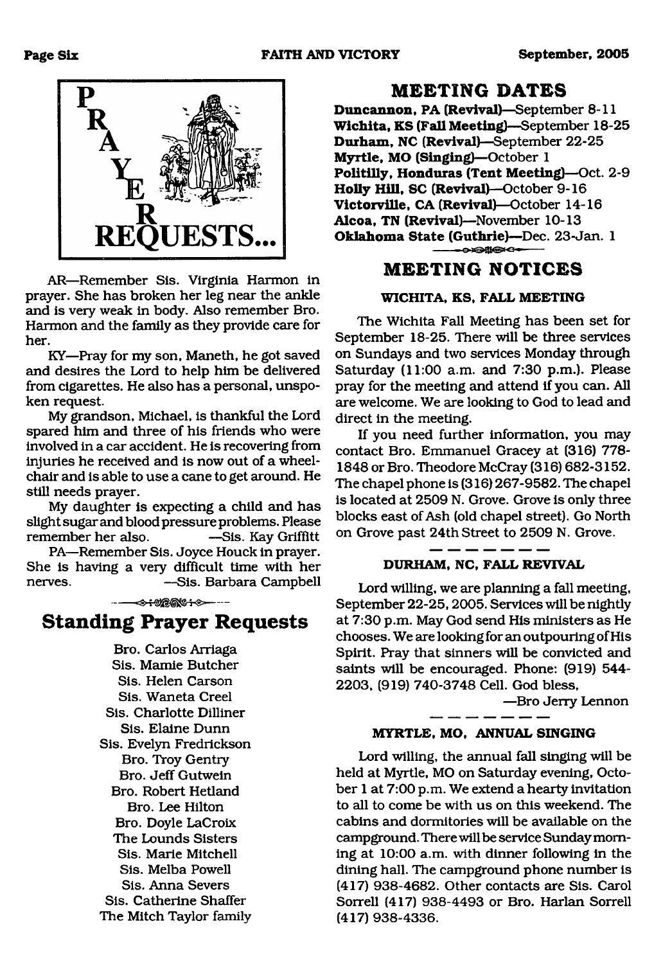

AR—Remember Sis. Virginia Harmon in prayer. She has broken her leg near the ankle and is very weak in body. Also remember Bro. Harmon and the family as they provide care for her.

KY—Pray for my son, Maneth, he got saved and desires the Lord to help him be delivered from cigarettes. He also has a personal, unspoken request.

My grandson, Michael, is thankful the Lord spared him and three of his friends who were involved in a car accident. He is recovering from injuries he received and is now out of a wheelchair and is able to use a cane to get around. He still needs prayer.

My daughter is expecting a child and has slight sugar and blood pressure problems. Please remember her also. — Sis. Kay Griffitt

PA—Remember Sis. Joyce Houck in prayer. She is having a very difficult time with her nerves. —Sis. Barbara Campbell

## **Standing Prayer Requests**

Bro. Carlos Arriaga Sis. Mamie Butcher Sis. Helen Carson Sis. Waneta Creel Sis. Charlotte Dilliner Sis. Elaine Dunn Sis. Evelyn Fredrickson Bro. Troy Gentry Bro. Jeff Gutwein Bro. Robert Hetland Bro. Lee Hilton Bro. Doyle LaCroix The Lounds Sisters Sis. Marie Mitchell Sis. Melba Powell Sis. Anna Severs Sis. Catherine Shaffer The Mitch Taylor family

### **MEETING DATES**

**Duncannon, PA (Revival)**—September 8-11 **Wichita, KS (Fall Meeting)**—September 18-25 **Durham, NC (Revival)**—September 22-25 **Myrtle, MO (Singing)**—October 1 **Politilly, Honduras (Tent Meeting)**—Oct. 2-9 **Holly Hill, SC (Revival)**—October 9-16 **Victorville, CA (Revival)**— October 14-16 **Alcoa, TN (Revival)**—November 10-13 **Oklahoma State (Guthrie)**—Dec. 23-Jan. 1  $-$ 

### **MEETING NOTICES**

#### **WICHITA, KS, FALL MEETING**

The Wichita Fall Meeting has been set for September 18-25. There will be three services on Sundays and two services Monday through Saturday (11:00 a.m. and 7:30 p.m.). Please pray for the meeting and attend if you can. All are welcome. We are looking to God to lead and direct in the meeting.

If you need further information, you may contact Bro. Emmanuel Gracey at (316) 778- 1848 or Bro. Theodore McCray (316) 682-3152. The chapel phone is (316) 267-9582. The chapel is located at 2509 N. Grove. Grove is only three blocks east of Ash (old chapel street). Go North on Grove past 24th Street to 2509 N. Grove.

#### **DURHAM, NC, FALL REVIVAL**

Lord willing, we are planning a fall meeting, September 22-25,2005. Services will be nightly at 7:30 p.m. May God send His ministers as He chooses. We are looking for an outpouring of His Spirit. Pray that sinners will be convicted and saints will be encouraged. Phone: (919) 544- 2203, (919) 740-3748 Cell. God bless,

—Bro Jerry Lennon

#### **MYRTLE, MO, ANNUAL SINGING**

Lord willing, the annual fall singing will be held at Myrtle, MO on Saturday evening, October 1 at 7:00 p.m. We extend a hearty invitation to all to come be with us on this weekend. The cabins and dormitories will be available on the campground. There will be service Sunday morning at 10:00 a.m. with dinner following in the dining hall. The campground phone number is (417) 938-4682. Other contacts are Sis. Carol Sorrell (417) 938-4493 or Bro. Harlan Sorrell (417) 938-4336.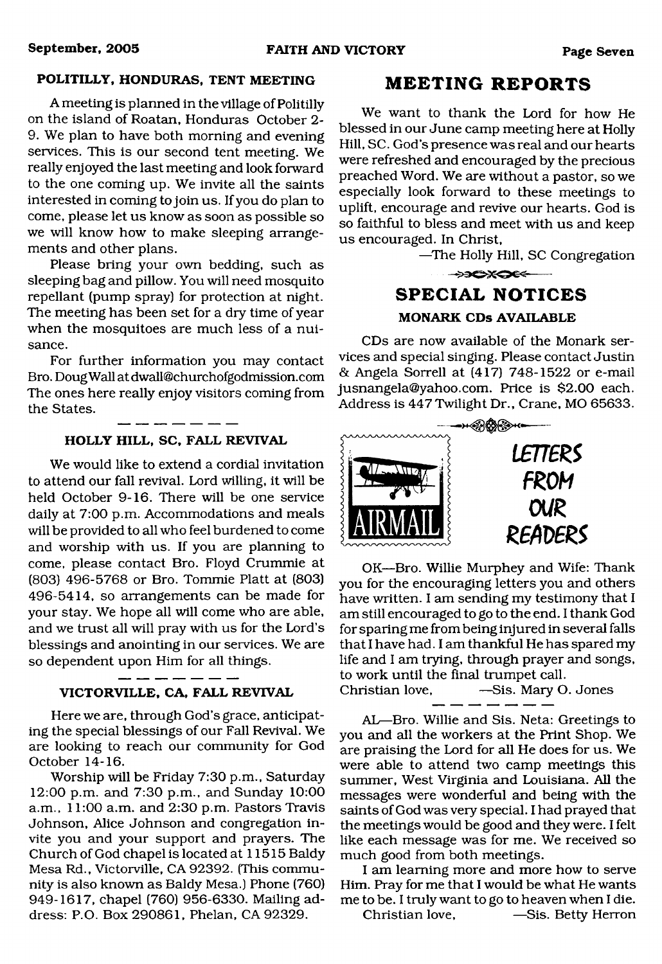#### **POLITILLY, HONDURAS, TENT MEETING**

A meeting is planned in the village of Politilly on the island of Roatan, Honduras October 2- 9. We plan to have both morning and evening services. This is our second tent meeting. We really enjoyed the last meeting and look forward to the one coming up. We invite all the saints interested in coming to join us. If you do plan to come, please let us know as soon as possible so we will know how to make sleeping arrangements and other plans.

Please bring your own bedding, such as sleeping bag and pillow. You will need mosquito repellant (pump spray) for protection at night. The meeting has been set for a dry time of year when the mosquitoes are much less of a nuisance.

For further information you may contact Bro. Doug Wall at [dwall@churchofgodmission.com](mailto:dwall@churchofgodmission.com) The ones here really enjoy visitors coming from the States.

#### **HOLLY HILL, SC, FALL REVIVAL**

We would like to extend a cordial invitation to attend our fall revival. Lord willing, it will be held October 9-16. There will be one service daily at 7:00 p.m. Accommodations and meals will be provided to all who feel burdened to come and worship with us. If you are planning to come, please contact Bro. Floyd Crummie at (803) 496-5768 or Bro. Tommie Platt at (803) 496-5414, so arrangements can be made for your stay. We hope all will come who are able, and we trust all will pray with us for the Lord's blessings and anointing in our services. We are so dependent upon Him for all things.

#### **VICTORVILLE, CA, FALL REVIVAL**

 $-$ 

Here we are, through God's grace, anticipating the special blessings of our Fall Revival. We are looking to reach our community for God October 14-16.

Worship will be Friday 7:30 p.m., Saturday 12:00 p.m. and 7:30 p.m., and Sunday 10:00 a.m., 11:00 a.m. and 2:30 p.m. Pastors Travis Johnson, Alice Johnson and congregation invite you and your support and prayers. The Church of God chapel is located at 11515 Baldy Mesa Rd., Victorville, CA 92392. (This community is also known as Baldy Mesa.) Phone (760) 949-1617, chapel (760) 956-6330. Mailing address: P.O. Box 290861, Phelan, CA 92329.

### **MEETING REPORTS**

We want to thank the Lord for how He blessed in our June camp meeting here at Holly Hill, SC. God's presence was real and our hearts were refreshed and encouraged by the precious preached Word. We are without a pastor, so we especially look forward to these meetings to uplift, encourage and revive our hearts. God is so faithful to bless and meet with us and keep us encouraged. In Christ,

—The Holly Hill, SC Congregation

## $\rightarrow$ **SPECIAL NOTICES MONARK CDs AVAILABLE**

CDs are now available of the Monark services and special singing. Please contact Justin & Angela Sorrell at (417) 748-1522 or e-mail [jusnangela@yahoo.com.](mailto:jusnangela@yahoo.com) Price is \$2.00 each. Address is 447Twilight Dr., Crane, MO 65633.



OK—Bro. Willie Murphey and Wife: Thank you for the encouraging letters you and others have written. I am sending my testimony that I am still encouraged to go to the end. I thank God for sparing me from being injured in several falls that I have had. I am thankful He has spared my life and I am trying, through prayer and songs, to work until the final trumpet call.

Christian love, —Sis. Mary O. Jones

AL—Bro. Willie and Sis. Neta: Greetings to you and all the workers at the Print Shop. We are praising the Lord for all He does for us. We were able to attend two camp meetings this summer, West Virginia and Louisiana. All the messages were wonderful and being with the saints of God was very special. I had prayed that the meetings would be good and they were. I felt like each message was for me. We received so

I am learning more and more how to serve Him. Pray for me that I would be what He wants me to be. I truly want to go to heaven when I die.

much good from both meetings.

Christian love. — Sis. Betty Herron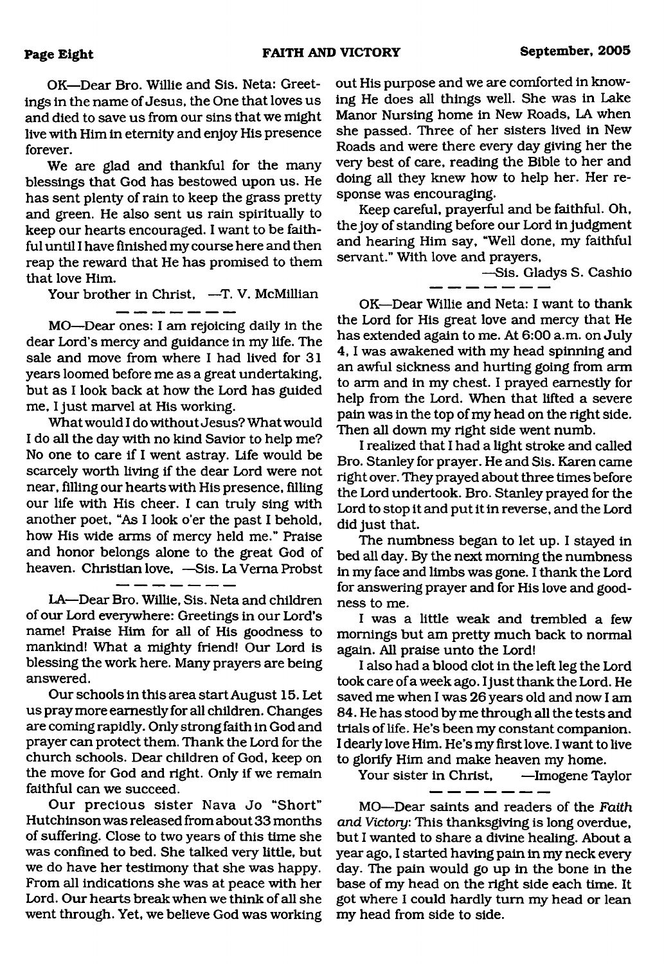OK—Dear Bro. Willie and Sis. Neta: Greetings in the name of Jesus, the One that loves us and died to save us from our sins that we might live with Him in eternity and enjoy His presence forever.

We are glad and thankful for the many blessings that God has bestowed upon us. He has sent plenty of rain to keep the grass pretty and green. He also sent us rain spiritually to keep our hearts encouraged. I want to be faithful until I have finished my course here and then reap the reward that He has promised to them that love Him.

Your brother in Christ, -T. V. McMillian

MO—Dear ones: I am rejoicing daily in the dear Lord's mercy and guidance in my life. The sale and move from where I had lived for 31 years loomed before me as a great undertaking, but as I look back at how the Lord has guided me, I just marvel at His working.

Whatwould I do without Jesus? What would I do all the day with no kind Savior to help me? No one to care if I went astray. Life would be scarcely worth living if the dear Lord were not near, filling our hearts with His presence, filling our life with His cheer. I can truly sing with another poet, "As I look o'er the past I behold, how His wide arms of mercy held me." Praise and honor belongs alone to the great God of heaven. Christian love,  $-S$ is. La Verna Probst<br> $\frac{1}{1-\frac{1}{1-\frac{1}{1-\frac{1}{1-\frac{1}{1-\frac{1}{1-\frac{1}{1-\frac{1}{1-\frac{1}{1-\frac{1}{1-\frac{1}{1-\frac{1}{1-\frac{1}{1-\frac{1}{1-\frac{1}{1-\frac{1}{1-\frac{1}{1-\frac{1}{1-\frac{1}{1-\frac{1}{1-\frac{1}{1-\frac{1}{1-\frac{1}{1-\frac{1}{1-\frac{1}{1-\frac{1}{1-\frac{1}{1-\frac{1}{1-\frac{1}{$ 

LA—Dear Bro. Willie, Sis. Neta and children of our Lord everywhere: Greetings in our Lord's name! Praise Him for all of His goodness to mankind! What a mighty friend! Our Lord is blessing the work here. Many prayers are being answered.

Our schools in this area start August 15. Let us pray more earnestly for all children. Changes are coming rapidly. Only strong faith in God and prayer can protect them. Thank the Lord for the church schools. Dear children of God, keep on the move for God and right. Only if we remain faithful can we succeed.

Our precious sister Nava Jo "Short" Hutchinson was released from about 33 months of suffering. Close to two years of this time she was confined to bed. She talked very little, but we do have her testimony that she was happy. From all indications she was at peace with her Lord. Our hearts break when we think of all she went through. Yet, we believe God was working out His purpose and we are comforted in knowing He does all things well. She was in Lake Manor Nursing home in New Roads, LA when she passed. Three of her sisters lived in New Roads and were there every day giving her the very best of care, reading the Bible to her and doing all they knew how to help her. Her response was encouraging.

Keep careful, prayerful and be faithful. Oh, the joy of standing before our Lord in judgment and hearing Him say, "Well done, my faithful servant." With love and prayers,

—Sis. Gladys S. Cashio

OK—Dear Willie and Neta: I want to thank the Lord for His great love and mercy that He has extended again to me. At 6:00 a.m. on July 4 ,1 was awakened with my head spinning and an awful sickness and hurting going from arm to arm and in my chest. I prayed earnestly for help from the Lord. When that lifted a severe pain was in the top of my head on the right side. Then all down my right side went numb.

I realized that I had a light stroke and called Bro. Stanley for prayer. He and Sis. Karen came right over. They prayed about three times before the Lord undertook. Bro. Stanley prayed for the Lord to stop it and put it in reverse, and the Lord did just that.

The numbness began to let up. I stayed in bed all day. By the next morning the numbness in my face and limbs was gone. I thank the Lord for answering prayer and for His love and goodness to me.

I was a little weak and trembled a few mornings but am pretty much back to normal again. All praise unto the Lord!

I also had a blood clot in the left leg the Lord took care of a week ago. I just thank the Lord. He saved me when I was 26 years old and now I am 84. He has stood by me through all the tests and trials of life. He's been my constant companion. I dearly love Him. He's my first love. I want to live to glorify Him and make heaven my home.

Your sister in Christ, —Imogene Taylor

MO—Dear saints and readers of the *Faith and Victory:* This thanksgiving is long overdue, but I wanted to share a divine healing. About a year ago, I started having pain in my neck every day. The pain would go up in the bone in the base of my head on the right side each time. It got where I could hardly turn my head or lean my head from side to side.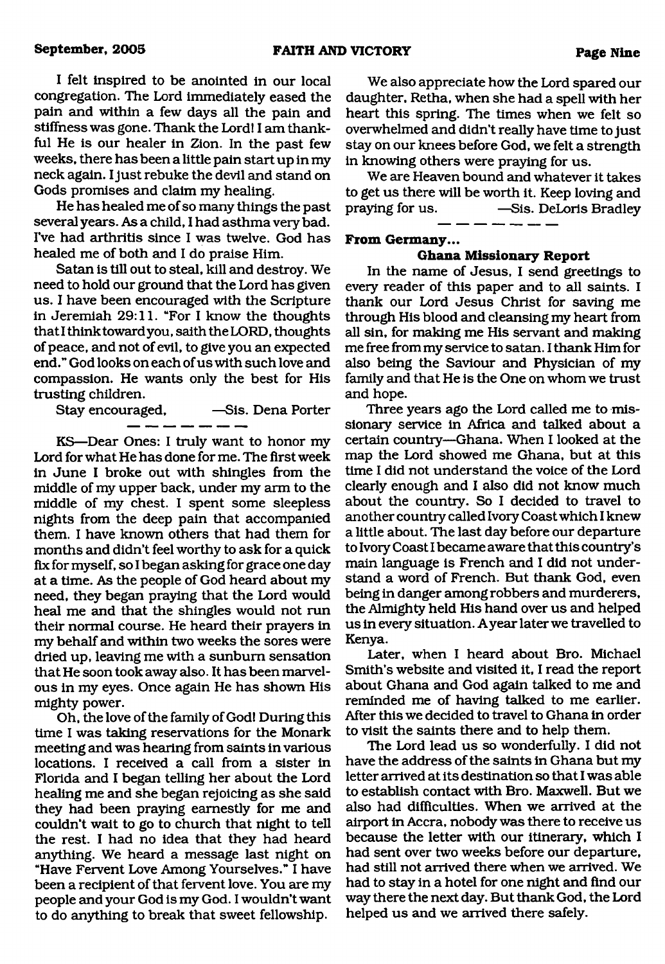I felt inspired to be anointed in our local congregation. The Lord immediately eased the pain and within a few days all the pain and stiffness was gone. Thank the Lord! I am thankful He is our healer in Zion. In the past few weeks, there has been a little pain start up in my neck again. I just rebuke the devil and stand on Gods promises and claim my healing.

He has healed me of so many things the past several years. As a child, I had asthma very bad. I've had arthritis since I was twelve. God has healed me of both and I do praise Him.

Satan is till out to steal, kill and destroy. We need to hold our ground that the Lord has given us. I have been encouraged with the Scripture in Jeremiah 29:11. "For I know the thoughts that I think toward you, saith the LORD, thoughts of peace, and not of evil, to give you an expected end." God looks on each of us with such love and compassion. He wants only the best for His trusting children.

Stay encouraged, —Sis. Dena Porter

KS—Dear Ones: I truly want to honor my Lord for what He has done for me. The first week in June I broke out with shingles from the middle of my upper back, under my arm to the middle of my chest. I spent some sleepless nights from the deep pain that accompanied them. I have known others that had them for months and didn't feel worthy to ask for a quick fix for myself, so I began asking for grace one day at a time. As the people of God heard about my need, they began praying that the Lord would heal me and that the shingles would not run their normal course. He heard their prayers in my behalf and within two weeks the sores were dried up, leaving me with a sunburn sensation that He soon took away also. It has been marvelous in my eyes. Once again He has shown His mighty power.

Oh, the love of the family of God! During this time I was taking reservations for the Monark meeting and was hearing from saints in various locations. I received a call from a sister in Florida and I began telling her about the Lord healing me and she began rejoicing as she said they had been praying earnestly for me and couldn't wait to go to church that night to tell the rest. I had no idea that they had heard anything. We heard a message last night on "Have Fervent Love Among Yourselves." I have been a recipient of that fervent love. You are my people and your God is my God. I wouldn't want to do anything to break that sweet fellowship.

We also appreciate how the Lord spared our daughter, Retha, when she had a spell with her heart this spring. The times when we felt so overwhelmed and didn't really have time to just stay on our knees before God, we felt a strength in knowing others were praying for us.

We are Heaven bound and whatever it takes to get us there will be worth it. Keep loving and<br>praying for us.  $-$ Sis. DeLoris Bradley **-Sis. DeLoris Bradley** 

#### **From Germany...**

#### **Ghana Missionary Report**

In the name of Jesus, I send greetings to every reader of this paper and to all saints. I thank our Lord Jesus Christ for saving me through His blood and cleansing my heart from all sin, for making me His servant and making me free from my service to satan. I thank Him for also being the Saviour and Physician of my family and that He is the One on whom we trust and hope.

Three years ago the Lord called me to missionary service in Africa and talked about a certain country—Ghana. When I looked at the map the Lord showed me Ghana, but at this time I did not understand the voice of the Lord clearly enough and I also did not know much about the country. So I decided to travel to another country called Ivory Coast which I knew a little about. The last day before our departure to Ivory Coast I became aware that this country's main language is French and I did not understand a word of French. But thank God, even being in danger among robbers and murderers, the Almighty held His hand over us and helped us in every situation. Ayear later we travelled to Kenya.

Later, when I heard about Bro. Michael Smith's website and visited it, I read the report about Ghana and God again talked to me and reminded me of having talked to me earlier. After this we decided to travel to Ghana in order to visit the saints there and to help them.

The Lord lead us so wonderfully. I did not have the address of the saints in Ghana but my letter arrived at its destination so that I was able to establish contact with Bro. Maxwell. But we also had difficulties. When we arrived at the airport in Accra, nobody was there to receive us because the letter with our itinerary, which I had sent over two weeks before our departure, had still not arrived there when we arrived. We had to stay in a hotel for one night and find our way there the next day. But thank God, the Lord helped us and we arrived there safely.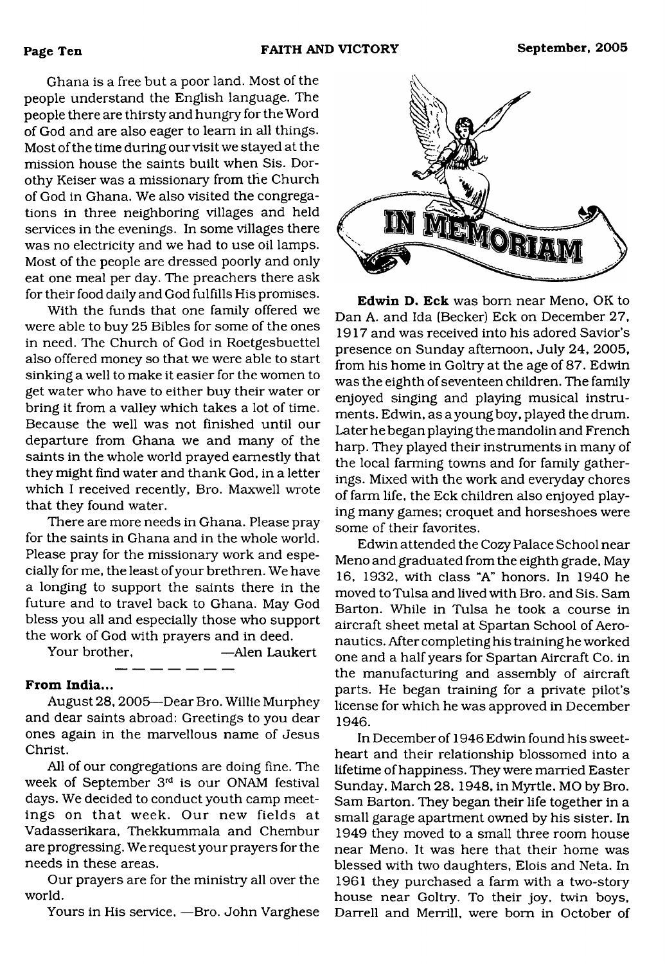Ghana is a free but a poor land. Most of the people understand the English language. The people there are thirsty and hungry for the Word of God and are also eager to learn in all things. Most of the time during our visit we stayed at the mission house the saints built when Sis. Dorothy Reiser was a missionary from the Church of God in Ghana. We also visited the congregations in three neighboring villages and held services in the evenings. In some villages there was no electricity and we had to use oil lamps. Most of the people are dressed poorly and only eat one meal per day. The preachers there ask for their food daily and God fulfills His promises.

With the funds that one family offered we were able to buy 25 Bibles for some of the ones in need. The Church of God in Roetgesbuettel also offered money so that we were able to start sinking a well to make it easier for the women to get water who have to either buy their water or bring it from a valley which takes a lot of time. Because the well was not finished until our departure from Ghana we and many of the saints in the whole world prayed earnestly that they might find water and thank God, in a letter which I received recently, Bro. Maxwell wrote that they found water.

There are more needs in Ghana. Please pray for the saints in Ghana and in the whole world. Please pray for the missionary work and especially for me, the least of your brethren. We have a longing to support the saints there in the future and to travel back to Ghana. May God bless you all and especially those who support the work of God with prayers and in deed.

Your brother, —Alen Laukert

#### **From India...**

August 28,2005—Dear Bro. Willie Murphey and dear saints abroad: Greetings to you dear ones again in the marvellous name of Jesus Christ.

All of our congregations are doing fine. The week of September 3rd is our ONAM festival days. We decided to conduct youth camp meetings on that week. Our new fields at Vadasserikara, Thekkummala and Chembur are progressing. We request your prayers for the needs in these areas.

Our prayers are for the ministry all over the world.

Yours in His service. —Bro. John Varghese



**Edwin D. Eck** was bom near Meno, OK to Dan A. and Ida (Becker) Eck on December 27, 1917 and was received into his adored Savior's presence on Sunday afternoon, July 24, 2005, from his home in Goltry at the age of 87. Edwin was the eighth of seventeen children. The family enjoyed singing and playing musical instruments. Edwin, as a young boy, played the drum. Later he began playing the mandolin and French harp. They played their instruments in many of the local farming towns and for family gatherings. Mixed with the work and everyday chores of farm life, the Eck children also enjoyed playing many games; croquet and horseshoes were some of their favorites.

Edwin attended the Cozy Palace School near Meno and graduated from the eighth grade, May 16, 1932, with class "A" honors. In 1940 he moved to Tulsa and lived with Bro. and Sis. Sam Barton. While in Tulsa he took a course in aircraft sheet metal at Spartan School of Aeronautics. After completing his training he worked one and a half years for Spartan Aircraft Co. in the manufacturing and assembly of aircraft parts. He began training for a private pilot's license for which he was approved in December 1946.

In December of 1946 Edwin found his sweetheart and their relationship blossomed into a lifetime of happiness. They were married Easter Sunday, March 28, 1948, in Myrtle, MO by Bro. Sam Barton. They began their life together in a small garage apartment owned by his sister. In 1949 they moved to a small three room house near Meno. It was here that their home was blessed with two daughters, Elois and Neta. In 1961 they purchased a farm with a two-story house near Goltry. To their joy, twin boys, Darrell and Merrill, were bom in October of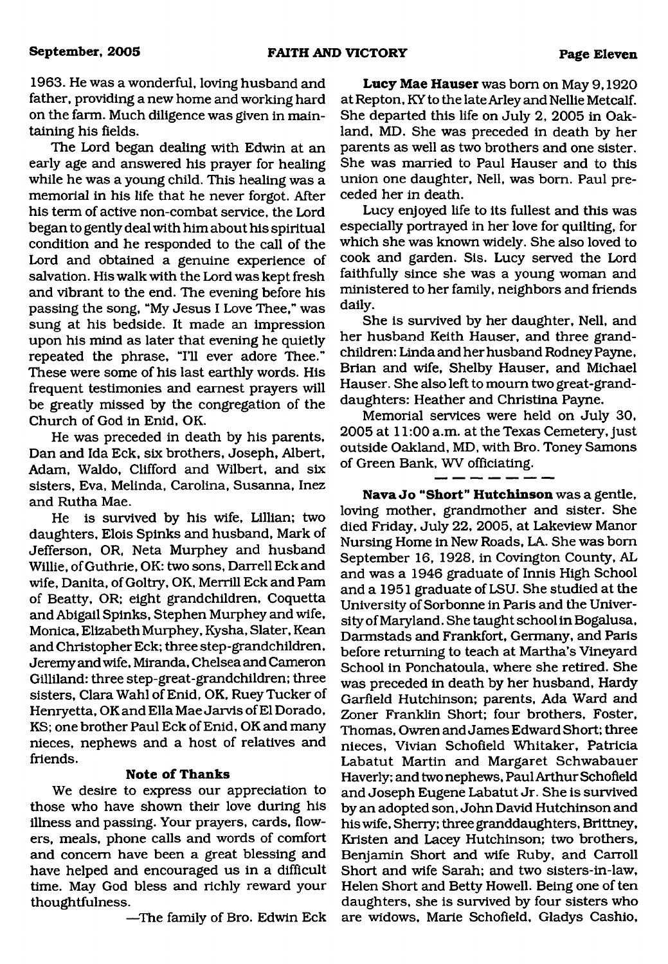1963. He was a wonderful, loving husband and father, providing a new home and working hard on the farm. Much diligence was given in maintaining his fields.

The Lord began dealing with Edwin at an early age and answered his prayer for healing while he was a young child. This healing was a memorial in his life that he never forgot. After his term of active non-combat service, the Lord began to gently deal with him about his spiritual condition and he responded to the call of the Lord and obtained a genuine experience of salvation. His walk with the Lord was kept fresh and vibrant to the end. The evening before his passing the song, "My Jesus I Love Thee," was sung at his bedside. It made an impression upon his mind as later that evening he quietly repeated the phrase, "I'll ever adore Thee." These were some of his last earthly words. His frequent testimonies and earnest prayers will be greatly missed by the congregation of the Church of God in Enid, OK.

He was preceded in death by his parents, Dan and Ida Eck, six brothers, Joseph, Albert, Adam, Waldo, Clifford and Wilbert, and six sisters, Eva, Melinda, Carolina, Susanna, Inez and Rutha Mae.

He is survived by his wife, Lillian; two daughters, Elois Spinks and husband, Mark of Jefferson, OR, Neta Murphey and husband Willie, of Guthrie, OK: two sons, Darrell Eck and wife, Danita, of Goltry, OK, Merrill Eck and Pam of Beatty, OR; eight grandchildren, Coquetta and Abigail Spinks, Stephen Murphey and wife, Monica, Elizabeth Murphey, Kysha, Slater, Kean and Christopher Eck; three step-grandchildren, Jeremy and wife, Miranda, Chelsea and Cameron Gilliland: three step-great-grandchildren; three sisters, Clara Wahl of Enid, OK, Ruey Tucker of Henryetta, OK and Ella Mae Jarvis of El Dorado, KS; one brother Paul Eck of Enid, OK and many nieces, nephews and a host of relatives and friends.

#### **Note of Thanks**

We desire to express our appreciation to those who have shown their love during his illness and passing. Your prayers, cards, flowers, meals, phone calls and words of comfort and concern have been a great blessing and have helped and encouraged us in a difficult time. May God bless and richly reward your thoughtfulness.

—The family of Bro. Edwin Eck

**Lucy Mae Hauser** was bom on May **9,1920** at Repton, KY to the late Arley and Nellie Metcalf. She departed this life on July **2, 2005** in Oakland, MD. She was preceded in death by her parents as well as two brothers and one sister. She was married to Paul Hauser and to this union one daughter, Nell, was bom. Paul preceded her in death.

Lucy enjoyed life to its fullest and this was especially portrayed in her love for quilting, for which she was known widely. She also loved to cook and garden. Sis. Lucy served the Lord faithfully since she was a young woman and ministered to her family, neighbors and friends daily.

She is survived by her daughter, Nell, and her husband Keith Hauser, and three grandchildren: Linda and her husband Rodney Payne, Brian and wife, Shelby Hauser, and Michael Hauser. She also left to mourn two great-granddaughters: Heather and Christina Payne.

Memorial services were held on July **30, 2005** at **11:00** a.m. at the Texas Cemetery, just outside Oakland, MD, with Bro. Toney Samons of Green Bank, WV officiating.

**Nava Jo "Short" Hutchinson** was a gentle, loving mother, grandmother and sister. She died Friday, July 22, 2005, at Lakeview Manor Nursing Home in New Roads, LA. She was bom September 16, 1928, in Covington County, AL and was a 1946 graduate of Innis High School and a 1951 graduate of LSU. She studied at the University of Sorbonne in Paris and the University of Maryland. She taught school in Bogalusa, Darmstads and Frankfort, Germany, and Paris before returning to teach at Martha's Vineyard School in Ponchatoula, where she retired. She was preceded in death by her husband, Hardy Garfield Hutchinson; parents, Ada Ward and Zoner Franklin Short; four brothers, Foster, Thomas, Owren and James Edward Short; three nieces, Vivian Schofield Whitaker, Patricia Labatut Martin and Margaret Schwabauer Haverly; and two nephews, Paul Arthur Schofield and Joseph Eugene Labatut Jr. She is survived by an adopted son, John David Hutchinson and his wife, Sherry; three granddaughters, Brittney, Kristen and Lacey Hutchinson; two brothers, Benjamin Short and wife Ruby, and Carroll Short and wife Sarah; and two sisters-in-law, Helen Short and Betty Howell. Being one of ten daughters, she is survived by four sisters who are widows, Marie Schofield, Gladys Cashio,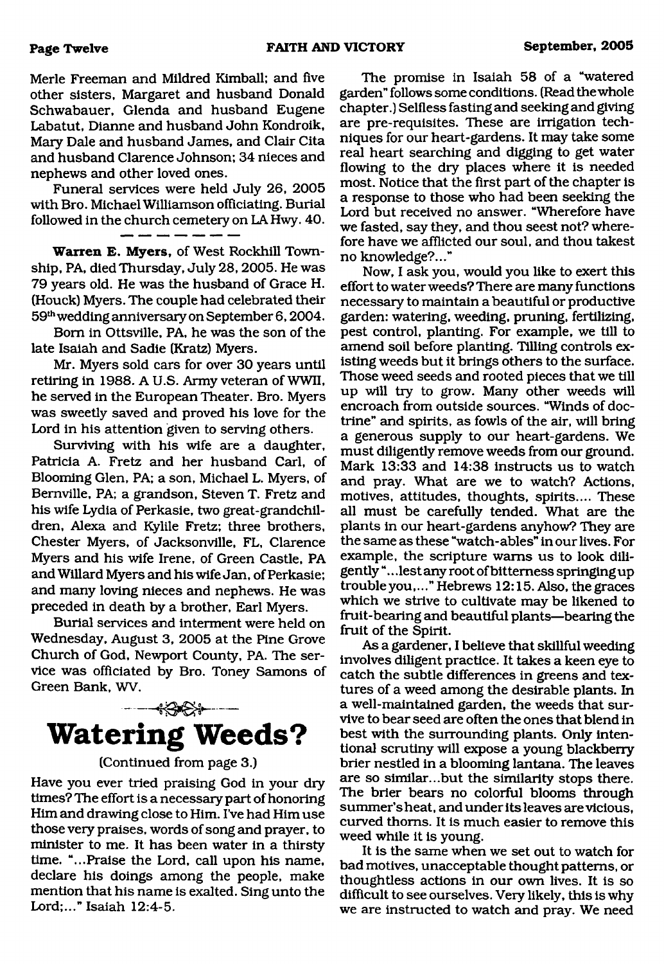Merle Freeman and Mildred Kimball; and five other sisters, Margaret and husband Donald Schwabauer, Glenda and husband Eugene Labatut, Dianne and husband John Kondroik, Mary Dale and husband James, and Clair Cita and husband Clarence Johnson; 34 nieces and nephews and other loved ones.

Funeral services were held July 26, 2005 with Bro. Michael Williamson officiating. Burial followed in the church cemetery on LA Hwy. 40.

**Warren E. Myers,** of West Rockhill Township, PA, died Thursday, July 28, 2005. He was 79 years old. He was the husband of Grace H. (Houck) Myers. The couple had celebrated their 59th wedding anniversary on September 6,2004.

Bom in Ottsville, PA, he was the son of the late Isaiah and Sadie (Kratz) Myers.

Mr. Myers sold cars for over 30 years until retiring in 1988. A U.S. Army veteran of WWII, he served in the European Theater. Bro. Myers was sweetly saved and proved his love for the Lord in his attention given to serving others.

Surviving with his wife are a daughter, Patricia A. Fretz and her husband Carl, of Blooming Glen, PA; a son, Michael L. Myers, of Bemville, PA; a grandson, Steven T. Fretz and his wife Lydia of Perkasie, two great-grandchildren, Alexa and Kylile Fretz; three brothers, Chester Myers, of Jacksonville, FL, Clarence Myers and his wife Irene, of Green Castle, PA and Willard Myers and his wife Jan, of Perkasie; and many loving nieces and nephews. He was preceded in death by a brother, Earl Myers.

Burial services and interment were held on Wednesday, August 3, 2005 at the Pine Grove Church of God, Newport County, PA. The service was officiated by Bro. Toney Samons of Green Bank, WV.



#### (Continued from page 3.)

Have you ever tried praising God in your dry times? The effort is a necessary part of honoring Him and drawing close to Him. I've had Him use those very praises, words of song and prayer, to minister to me. It has been water in a thirsty time. "...Praise the Lord, call upon his name, declare his doings among the people, make mention that his name is exalted. Sing unto the Lord;..." Isaiah 12:4-5.

The promise in Isaiah 58 of a "watered garden" follows some conditions. (Read the whole chapter.) Selfless fasting and seeking and giving are pre-requisites. These are irrigation techniques for our heart-gardens. It may take some read heart searching and digging to get water flowing to the dry places where it is needed most. Notice that the first part of the chapter is a response to those who had been seeking the Lord but received no answer. "Wherefore have we fasted, say they, and thou seest not? wherefore have we afflicted our soul, and thou takest no knowledge?..."

Now, I ask you, would you like to exert this effort to water weeds? There are many functions necessary to maintain a beautiful or productive garden: watering, weeding, pruning, fertilizing, pest control, planting. For example, we till to amend soil before planting. Tilling controls existing weeds but it brings others to the surface. Those weed seeds and rooted pieces that we till up will try to grow. Many other weeds will encroach from outside sources. "Winds of doctrine" and spirits, as fowls of the air, will bring a generous supply to our heart-gardens. We must diligently remove weeds from our ground. Mark 13:33 and 14:38 instructs us to watch and pray. What are we to watch? Actions, motives, attitudes, thoughts, spirits.... These all must be carefully tended. What are the plants in our heart-gardens anyhow? They are the same as these "watch-ables" in our lives. For example, the scripture warns us to look diligently "... lest any root of bitterness springing up trouble you,..." Hebrews 12:15. Also, the graces which we strive to cultivate may be likened to fruit-bearing and beautiful plants—bearing the fruit of the Spirit.

As a gardener, I believe that skillful weeding involves diligent practice. It takes a keen eye to catch the subtle differences in greens and textures of a weed among the desirable plants. In a well-maintained garden, the weeds that survive to bear seed are often the ones that blend in best with the surrounding plants. Only intentional scrutiny will expose a young blackberry brier nestled in a blooming lantana. The leaves are so similar...but the similarity stops there. The brier bears no colorful blooms through summer's heat, and under its leaves are vicious, curved thorns. It is much easier to remove this weed while it is young.

It is the same when we set out to watch for bad motives, unacceptable thought patterns, or thoughtless actions in our own lives. It is so difficult to see ourselves. Very likely, this is why we are instructed to watch and pray. We need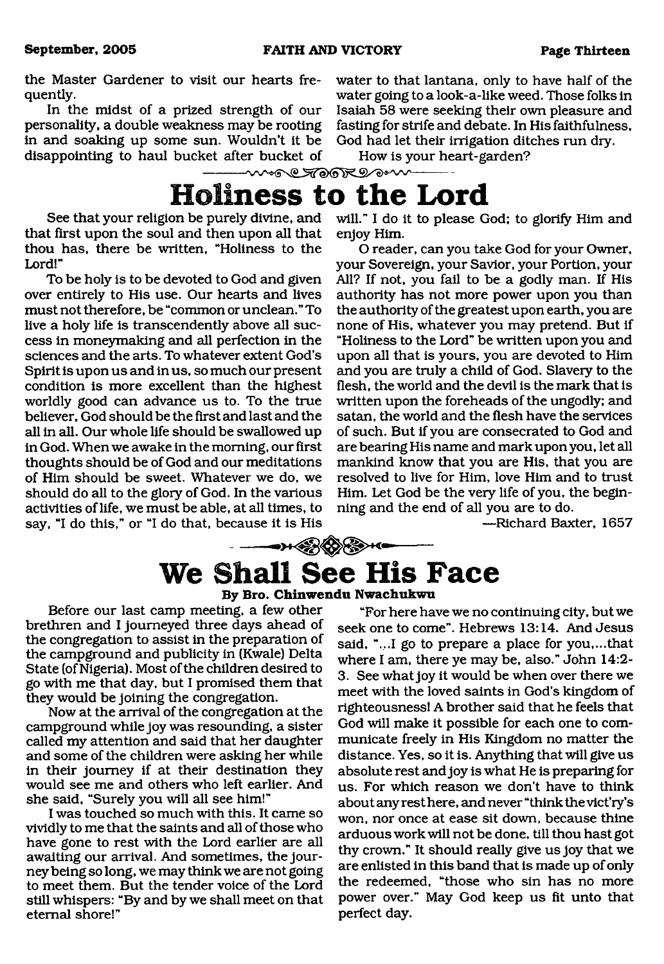the Master Gardener to visit our hearts frequently.

In the midst of a prized strength of our personality, a double weakness may be rooting in and soaking up some sun. Wouldn't it be disappointing to haul bucket after bucket of

water to that lantana, only to have half of the water going to a look-a-like weed. Those folks in Isaiah 58 were seeking their own pleasure and fasting for strife and debate. In His faithfulness, God had let their irrigation ditches run dry.

How is your heart-garden?

## <span id="page-12-0"></span>more TOORDOW **Holiness to the Lord**

See that your religion be purely divine, and that first upon the soul and then upon all that thou has, there be written, "Holiness to the Lord!"

To be holy is to be devoted to God and given over entirely to His use. Our hearts and lives must not therefore, be "common or unclean." To live a holy life is transcendently above all success in moneymaking and all perfection in the sciences and the arts. To whatever extent God's Spirit is upon us and in us, so much our present condition is more excellent than the highest worldly good can advance us to. To the true believer, God should be the first and last and the all in all. Our whole life should be swallowed up in God. When we awake in the morning, our first thoughts should be of God and our meditations of Him should be sweet. Whatever we do, we should do all to the glory of God. In the various activities of life, we must be able, at all times, to say, "I do this," or "I do that, because it is His

will." I do it to please God; to glorify Him and enjoy Him.

O reader, can you take God for your Owner, your Sovereign, your Savior, your Portion, your All? If not, you fail to be a godly man. If His authority has not more power upon you than the authority of the greatest upon earth, you are none of His, whatever you may pretend. But if "Holiness to the Lord" be written upon you and upon all that is yours, you are devoted to Him and you are truly a child of God. Slavery to the flesh, the world and the devil is the mark that is written upon the foreheads of the ungodly; and satan, the world and the flesh have the services of such. But if you are consecrated to God and are bearing His name and mark upon you, let all mankind know that you are His, that you are resolved to live for Him, love Him and to trust Him. Let God be the very life of you, the beginning and the end of all you are to do.

—Richard Baxter, 1657

## $\frac{1}{1-\frac{1}{1-\frac{1}{1-\frac{1}{1-\frac{1}{1-\frac{1}{1-\frac{1}{1-\frac{1}{1-\frac{1}{1-\frac{1}{1-\frac{1}{1-\frac{1}{1-\frac{1}{1-\frac{1}{1-\frac{1}{1-\frac{1}{1-\frac{1}{1-\frac{1}{1-\frac{1}{1-\frac{1}{1-\frac{1}{1-\frac{1}{1-\frac{1}{1-\frac{1}{1-\frac{1}{1-\frac{1}{1-\frac{1}{1-\frac{1}{1-\frac{1}{1-\frac{1}{1-\frac{1}{1-\frac{1}{1-\frac{1}{1-\frac{1}{1-\frac{1}{1-\frac{1}{1-\frac{1$ **We Shall See His Face**

#### **By Bro. Chinwendu Nwachukwu**

Before our last camp meeting, a few other brethren and I journeyed three days ahead of the congregation to assist in the preparation of the campground and publicity in (Kwale) Delta State (of Nigeria). Most of the children desired to go with me that day, but I promised them that they would be joining the congregation.

Now at the arrival of the congregation at the campground while joy was resounding, a sister called my attention and said that her daughter and some of the children were asking her while in their journey if at their destination they would see me and others who left earlier. And she said, "Surely you will all see him!"

I was touched so much with this. It came so vividly to me that the saints and all of those who have gone to rest with the Lord earlier are all awaiting our arrival. And sometimes, the journey being so long, we may think we are not going to meet them. But the tender voice of the Lord still whispers: "By and by we shall meet on that eternal shore!"

"For here have we no continuing city, but we seek one to come". Hebrews 13:14. And Jesus said, "...I go to prepare a place for you,...that where I am, there ye may be, also." John 14:2- 3. See what joy it would be when over there we meet with the loved saints in God's kingdom of righteousness! A brother said that he feels that God will make it possible for each one to communicate freely in His Kingdom no matter the distance. Yes, so it is. Anything that will give us absolute rest and joy is what He is preparing for us. For which reason we don't have to think about any rest here, and never "think the vict'ry's won, nor once at ease sit down, because thine arduous work will not be done, till thou hast got thy crown." It should really give us joy that we are enlisted in this band that is made up of only the redeemed, "those who sin has no more power over." May God keep us fit unto that perfect day.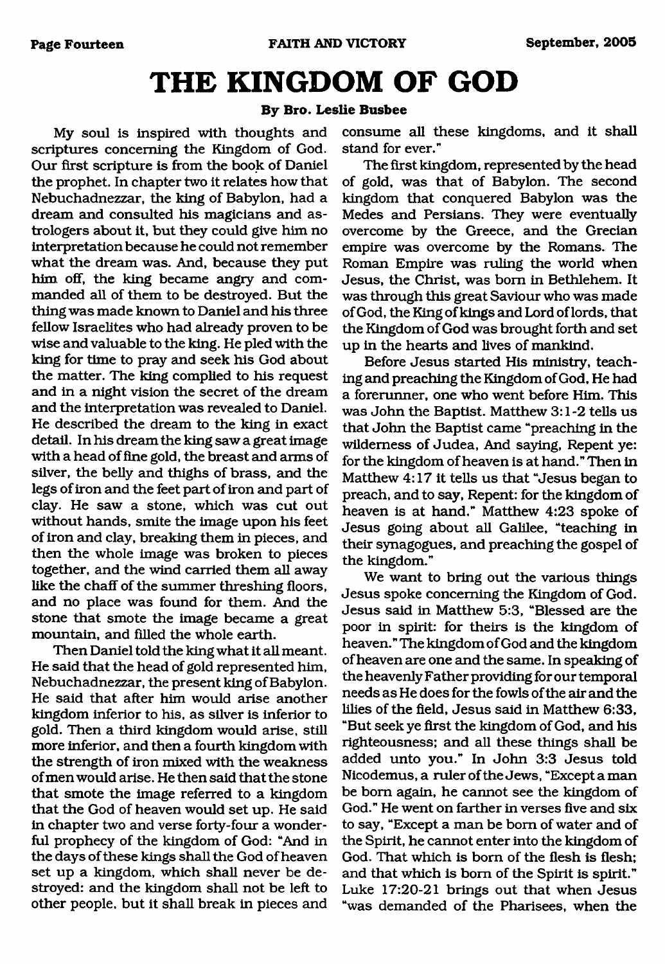# <span id="page-13-0"></span>**THE KINGDOM OF GOD**

#### **By Bro. Leslie Busbee**

My soul is inspired with thoughts and scriptures concerning the Kingdom of God. Our first scripture is from the book of Daniel the prophet. In chapter two it relates how that Nebuchadnezzar, the king of Babylon, had a dream and consulted his magicians and astrologers about it, but they could give him no interpretation because he could not remember what the dream was. And, because they put him off, the king became angry and commanded all of them to be destroyed. But the thing was made known to Daniel and his three fellow Israelites who had already proven to be wise and valuable to the king. He pled with the king for time to pray and seek his God about the matter. The king complied to his request and in a night vision the secret of the dream and the interpretation was revealed to Daniel. He described the dream to the king in exact detail. In his dream the king saw a great image with a head of fine gold, the breast and arms of silver, the belly and thighs of brass, and the legs of iron and the feet part of iron and part of clay. He saw a stone, which was cut out without hands, smite the image upon his feet of iron and clay, breaking them in pieces, and then the whole image was broken to pieces together, and the wind carried them all away like the chaff of the summer threshing floors, and no place was found for them. And the stone that smote the image became a great mountain, and filled the whole earth.

Then Daniel told the king what it all meant. He said that the head of gold represented him, Nebuchadnezzar, the present king of Babylon. He said that after him would arise another kingdom inferior to his, as silver is inferior to gold. Then a third kingdom would arise, still more inferior, and then a fourth kingdom with the strength of iron mixed with the weakness of men would arise. He then said that the stone that smote the image referred to a kingdom that the God of heaven would set up. He said in chapter two and verse forty-four a wonderful prophecy of the kingdom of God: "And in the days of these kings shall the God of heaven set up a kingdom, which shall never be destroyed: and the kingdom shall not be left to other people, but it shall break in pieces and consume all these kingdoms, and it shall stand for ever."

The first kingdom, represented by the head of gold, was that of Babylon. The second kingdom that conquered Babylon was the Medes and Persians. They were eventually overcome by the Greece, and the Grecian empire was overcome by the Romans. The Roman Empire was ruling the world when Jesus, the Christ, was bom in Bethlehem. It was through this great Saviour who was made of God, the King of kings and Lord of lords, that the Kingdom of God was brought forth and set up in the hearts and lives of mankind.

Before Jesus started His ministry, teaching and preaching the Kingdom of God, He had a forerunner, one who went before Him. This was John the Baptist. Matthew 3:1-2 tells us that John the Baptist came "preaching in the wilderness of Judea, And saying, Repent ye: for the kingdom of heaven is at hand." Then in Matthew 4:17 it tells us that "Jesus began to preach, and to say, Repent: for the kingdom of heaven is at hand." Matthew 4:23 spoke of Jesus going about all Galilee, "teaching in their synagogues, and preaching the gospel of the kingdom."

We want to bring out the various things Jesus spoke concerning the Kingdom of God. Jesus said in Matthew 5:3, "Blessed are the poor in spirit: for theirs is the kingdom of heaven." The kingdom of God and the kingdom of heaven are one and the same. In speaking of the heavenly Father providing for our temporal needs as He does for the fowls of the air and the lilies of the field, Jesus said in Matthew 6:33, "But seek ye first the kingdom of God, and his righteousness; and all these things shall be added unto you." In John 3:3 Jesus told Nicodemus, a ruler of the Jews, "Except a man be bom again, he cannot see the kingdom of God." He went on farther in verses five and six to say, "Except a man be bom of water and of the Spirit, he cannot enter into the kingdom of God. That which is bom of the flesh is flesh; and that which is bom of the Spirit is spirit." Luke 17:20-21 brings out that when Jesus "was demanded of the Pharisees, when the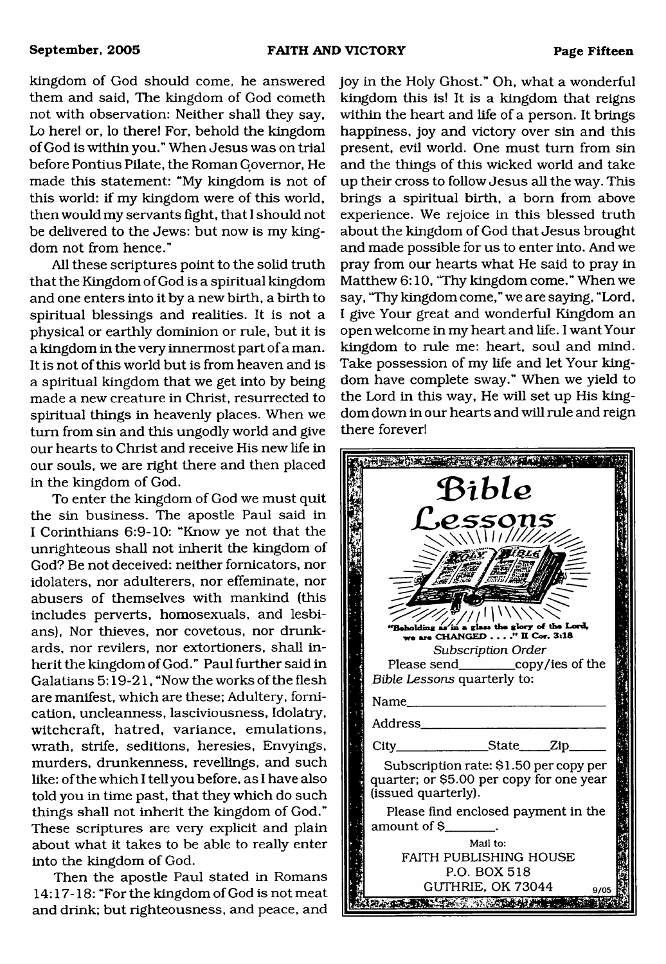kingdom of God should come, he answered them and said, The kingdom of God cometh not with observation: Neither shall they say, Lo here! or, lo there! For, behold the kingdom of God is within you." When Jesus was on trial before Pontius Pilate, the Roman Governor, He made this statement: "My kingdom is not of this world: if my kingdom were of this world, then would my servants fight, that I should not be delivered to the Jews: but now is my kingdom not from hence."

All these scriptures point to the solid truth that the Kingdom of God is a spiritual kingdom and one enters into it by a new birth, a birth to spiritual blessings and realities. It is not a physical or earthly dominion or rule, but it is a kingdom in the very innermost part of a man. It is not of this world but is from heaven and is a spiritual kingdom that we get into by being made a new creature in Christ, resurrected to spiritual things in heavenly places. When we turn from sin and this ungodly world and give our hearts to Christ and receive His new life in our souls, we are right there and then placed in the kingdom of God.

To enter the kingdom of God we must quit the sin business. The apostle Paul said in I Corinthians 6:9-10: "Know ye not that the unrighteous shall not inherit the kingdom of God? Be not deceived: neither fornicators, nor idolaters, nor adulterers, nor effeminate, nor abusers of themselves with mankind (this includes perverts, homosexuals, and lesbians), Nor thieves, nor covetous, nor drunkards, nor revilers, nor extortioners, shall inherit the kingdom of God." Paul further said in Galatians 5:19-21, "Now the works of the flesh are manifest, which are these; Adultery, fornication, uncleanness, lasciviousness, Idolatry, witchcraft, hatred, variance, emulations, wrath, strife, seditions, heresies, Envyings, murders, drunkenness, revellings, and such like: of the which I tell you before, as I have also told you in time past, that they which do such things shall not inherit the kingdom of God." These scriptures are very explicit and plain about what it takes to be able to really enter into the kingdom of God.

Then the apostle Paul stated in Romans 14:17-18: "For the kingdom of God is not meat and drink; but righteousness, and peace, and joy in the Holy Ghost." Oh, what a wonderful kingdom this is! It is a kingdom that reigns within the heart and life of a person. It brings happiness, joy and victory over sin and this present, evil world. One must turn from sin and the things of this wicked world and take up their cross to follow Jesus all the way. This brings a spiritual birth, a bom from above experience. We rejoice in this blessed truth about the kingdom of God that Jesus brought and made possible for us to enter into. And we pray from our hearts what He said to pray in Matthew 6:10, 'Thy kingdom come." When we say, "Thy kingdom come," we are saying, "Lord, I give Your great and wonderful Kingdom an open welcome in my heart and life. I want Your kingdom to rule me: heart, soul and mind. Take possession of my life and let Your kingdom have complete sway." When we yield to the Lord in this way, He will set up His kingdom down in our hearts and will rule and reign there forever!

|  | Bible                                                                                                     |  |  |
|--|-----------------------------------------------------------------------------------------------------------|--|--|
|  | L'essons<br>$\sqrt{111117777}$                                                                            |  |  |
|  | 'BLt                                                                                                      |  |  |
|  | Beholding as in a glass the glory of the Lord,                                                            |  |  |
|  | we are CHANGED" II Cor. 3:18<br>Subscription Order<br>Please send_____________copy/ies of the             |  |  |
|  | Bible Lessons quarterly to:                                                                               |  |  |
|  | Name                                                                                                      |  |  |
|  | Address_                                                                                                  |  |  |
|  | City_________________State_____Zip________                                                                |  |  |
|  | Subscription rate: \$1.50 per copy per<br>quarter; or \$5.00 per copy for one year<br>(issued quarterly). |  |  |
|  | Please find enclosed payment in the                                                                       |  |  |
|  | Mail to:                                                                                                  |  |  |
|  | <b>FAITH PUBLISHING HOUSE</b><br>P.O. BOX 518                                                             |  |  |
|  | GUTHRIE, OK 73044<br>9/05                                                                                 |  |  |
|  |                                                                                                           |  |  |